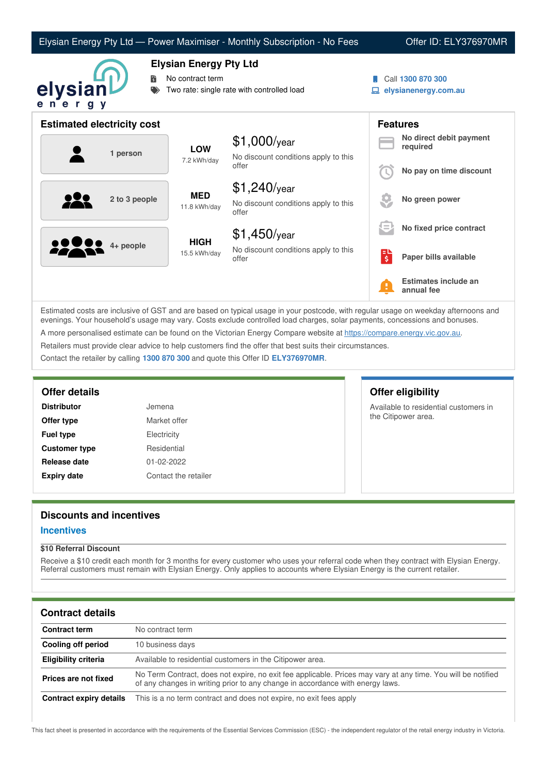|                                   |                                                                                                 | Elysian Energy Pty Ltd - Power Maximiser - Monthly Subscription - No Fees |                               | Offer ID: ELY376970MR                     |
|-----------------------------------|-------------------------------------------------------------------------------------------------|---------------------------------------------------------------------------|-------------------------------|-------------------------------------------|
| 聞<br>elysianl<br>ener<br>g y      | <b>Elysian Energy Pty Ltd</b><br>No contract term<br>Two rate: single rate with controlled load |                                                                           |                               | Call 1300 870 300<br>elysianenergy.com.au |
| <b>Estimated electricity cost</b> |                                                                                                 |                                                                           |                               | <b>Features</b>                           |
| 1 person                          | <b>LOW</b><br>7.2 kWh/day                                                                       | $$1,000$ /year<br>No discount conditions apply to this<br>offer           |                               | No direct debit payment<br>required       |
|                                   |                                                                                                 |                                                                           |                               | No pay on time discount                   |
| 2 to 3 people                     | <b>MED</b><br>11.8 kWh/day                                                                      | $$1,240$ /year<br>No discount conditions apply to this<br>offer           |                               | No green power                            |
|                                   | <b>HIGH</b><br>15.5 kWh/day                                                                     | $$1,450$ /year                                                            |                               | No fixed price contract                   |
| 4+ people                         |                                                                                                 | No discount conditions apply to this<br>offer                             | $\overline{\boldsymbol{\xi}}$ | Paper bills available                     |
|                                   |                                                                                                 |                                                                           |                               | Estimates include an<br>annual fee        |

Estimated costs are inclusive of GST and are based on typical usage in your postcode, with regular usage on weekday afternoons and evenings. Your household's usage may vary. Costs exclude controlled load charges, solar payments, concessions and bonuses. A more personalised estimate can be found on the Victorian Energy Compare website at <https://compare.energy.vic.gov.au>. Retailers must provide clear advice to help customers find the offer that best suits their circumstances.

Contact the retailer by calling **1300 870 300** and quote this Offer ID **ELY376970MR**.

| <b>Distributor</b>   | Jemena       |
|----------------------|--------------|
| Offer type           | Market offer |
| <b>Fuel type</b>     | Electricity  |
| <b>Customer type</b> | Residential  |
| Release date         | 01-02-2022   |
| <b>Expiry date</b>   | Contact the  |

# the retailer

# **Offer details Offer eligibility**

Available to residential customers in the Citipower area.

# **Discounts and incentives**

#### **Incentives**

#### **\$10 Referral Discount**

Receive a \$10 credit each month for 3 months for every customer who uses your referral code when they contract with Elysian Energy. Referral customers must remain with Elysian Energy. Only applies to accounts where Elysian Energy is the current retailer.

# **Contract details**

| <b>Contract term</b>    | No contract term                                                                                                                                                                              |
|-------------------------|-----------------------------------------------------------------------------------------------------------------------------------------------------------------------------------------------|
| Cooling off period      | 10 business days                                                                                                                                                                              |
| Eligibility criteria    | Available to residential customers in the Citipower area.                                                                                                                                     |
| Prices are not fixed    | No Term Contract, does not expire, no exit fee applicable. Prices may vary at any time. You will be notified<br>of any changes in writing prior to any change in accordance with energy laws. |
| Contract expiry details | This is a no term contract and does not expire, no exit fees apply                                                                                                                            |

This fact sheet is presented in accordance with the requirements of the Essential Services Commission (ESC) - the independent regulator of the retail energy industry in Victoria.